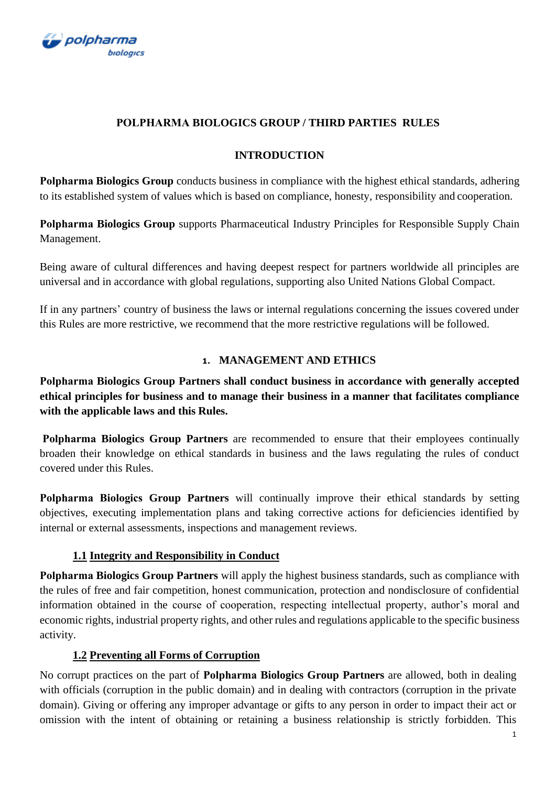

## **POLPHARMА BIOLOGICS GROUP / THIRD PARTIES RULES**

#### **INTRODUCTION**

**Polpharmа Biologics Group** conducts business in compliance with the highest ethical standards, adhering to its established system of values which is based on compliance, honesty, responsibility and cooperation.

**Polpharmа Biologics Group** supports Pharmaceutical Industry Principles for Responsible Supply Chain Management.

Being aware of cultural differences and having deepest respect for partners worldwide all principles are universal and in accordance with global regulations, supporting also United Nations Global Compact.

If in any partners' country of business the laws or internal regulations concerning the issues covered under this Rules are more restrictive, we recommend that the more restrictive regulations will be followed.

## **1. MANAGEMENT AND ETHICS**

**Polpharmа Biologics Group Partners shall conduct business in accordance with generally accepted ethical principles for business and to manage their business in a manner that facilitates compliance with the applicable laws and this Rules.**

**Polpharmа Biologics Group Partners** are recommended to ensure that their employees continually broaden their knowledge on ethical standards in business and the laws regulating the rules of conduct covered under this Rules.

**Polpharmа Biologics Group Partners** will continually improve their ethical standards by setting objectives, executing implementation plans and taking corrective actions for deficiencies identified by internal or external assessments, inspections and management reviews.

## **1.1 Integrity and Responsibility in Conduct**

**Polpharmа Biologics Group Partners** will apply the highest business standards, such as compliance with the rules of free and fair competition, honest communication, protection and nondisclosure of confidential information obtained in the course of cooperation, respecting intellectual property, author's moral and economic rights, industrial property rights, and other rules and regulations applicable to the specific business activity.

## **1.2 Preventing all Forms of Corruption**

No corrupt practices on the part of **Polpharmа Biologics Group Partners** are allowed, both in dealing with officials (corruption in the public domain) and in dealing with contractors (corruption in the private domain). Giving or offering any improper advantage or gifts to any person in order to impact their act or omission with the intent of obtaining or retaining a business relationship is strictly forbidden. This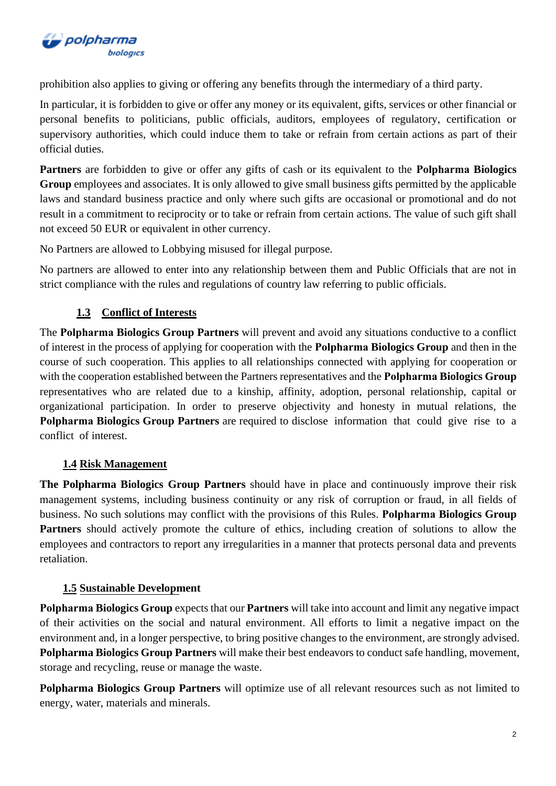

prohibition also applies to giving or offering any benefits through the intermediary of a third party.

In particular, it is forbidden to give or offer any money or its equivalent, gifts, services or other financial or personal benefits to politicians, public officials, auditors, employees of regulatory, certification or supervisory authorities, which could induce them to take or refrain from certain actions as part of their official duties.

**Partners** are forbidden to give or offer any gifts of cash or its equivalent to the **Polpharmа Biologics Group** employees and associates. It is only allowed to give small business gifts permitted by the applicable laws and standard business practice and only where such gifts are occasional or promotional and do not result in a commitment to reciprocity or to take or refrain from certain actions. The value of such gift shall not exceed 50 EUR or equivalent in other currency.

No Partners are allowed to Lobbying misused for illegal purpose.

No partners are allowed to enter into any relationship between them and Public Officials that are not in strict compliance with the rules and regulations of country law referring to public officials.

# **1.3 Conflict of Interests**

The **Polpharmа Biologics Group Partners** will prevent and avoid any situations conductive to a conflict of interest in the process of applying for cooperation with the **Polpharmа Biologics Group** and then in the course of such cooperation. This applies to all relationships connected with applying for cooperation or with the cooperation established between the Partners representatives and the **Polpharmа Biologics Group** representatives who are related due to a kinship, affinity, adoption, personal relationship, capital or organizational participation. In order to preserve objectivity and honesty in mutual relations, the **Polpharmа Biologics Group Partners** are required to disclose information that could give rise to a conflict of interest.

# **1.4 Risk Management**

**The Polpharma Biologics Group Partners** should have in place and continuously improve their risk management systems, including business continuity or any risk of corruption or fraud, in all fields of business. No such solutions may conflict with the provisions of this Rules. **Polpharmа Biologics Group Partners** should actively promote the culture of ethics, including creation of solutions to allow the employees and contractors to report any irregularities in a manner that protects personal data and prevents retaliation.

## **1.5 Sustainable Development**

**Polpharmа Biologics Group** expects that our **Partners** will take into account and limit any negative impact of their activities on the social and natural environment. All efforts to limit a negative impact on the environment and, in a longer perspective, to bring positive changes to the environment, are strongly advised. **Polpharma Biologics Group Partners** will make their best endeavors to conduct safe handling, movement, storage and recycling, reuse or manage the waste.

**Polpharma Biologics Group Partners** will optimize use of all relevant resources such as not limited to energy, water, materials and minerals.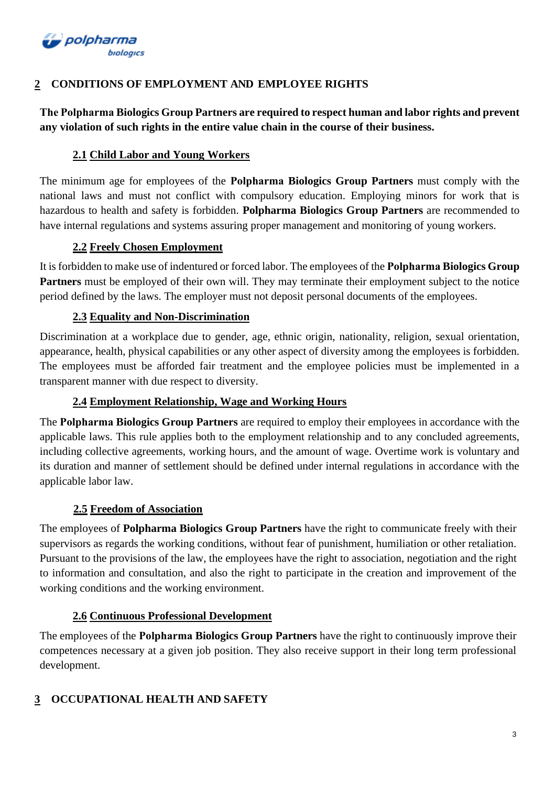

# **2 CONDITIONS OF EMPLOYMENT AND EMPLOYEE RIGHTS**

**The Polpharmа Biologics Group Partners are required to respect human and labor rights and prevent any violation of such rights in the entire value chain in the course of their business.**

# **2.1 Child Labor and Young Workers**

The minimum age for employees of the **Polpharmа Biologics Group Partners** must comply with the national laws and must not conflict with compulsory education. Employing minors for work that is hazardous to health and safety is forbidden. **Polpharma Biologics Group Partners** are recommended to have internal regulations and systems assuring proper management and monitoring of young workers.

# **2.2 Freely Chosen Employment**

It is forbidden to make use of indentured or forced labor. The employees of the **Polpharmа Biologics Group Partners** must be employed of their own will. They may terminate their employment subject to the notice period defined by the laws. The employer must not deposit personal documents of the employees.

# **2.3 Equality and Non-Discrimination**

Discrimination at a workplace due to gender, age, ethnic origin, nationality, religion, sexual orientation, appearance, health, physical capabilities or any other aspect of diversity among the employees is forbidden. The employees must be afforded fair treatment and the employee policies must be implemented in a transparent manner with due respect to diversity.

# **2.4 Employment Relationship, Wage and Working Hours**

The **Polpharmа Biologics Group Partners** are required to employ their employees in accordance with the applicable laws. This rule applies both to the employment relationship and to any concluded agreements, including collective agreements, working hours, and the amount of wage. Overtime work is voluntary and its duration and manner of settlement should be defined under internal regulations in accordance with the applicable labor law.

# **2.5 Freedom of Association**

The employees of **Polpharma Biologics Group Partners** have the right to communicate freely with their supervisors as regards the working conditions, without fear of punishment, humiliation or other retaliation. Pursuant to the provisions of the law, the employees have the right to association, negotiation and the right to information and consultation, and also the right to participate in the creation and improvement of the working conditions and the working environment.

## **2.6 Continuous Professional Development**

The employees of the **Polpharmа Biologics Group Partners** have the right to continuously improve their competences necessary at a given job position. They also receive support in their long term professional development.

# **3 OCCUPATIONAL HEALTH AND SAFETY**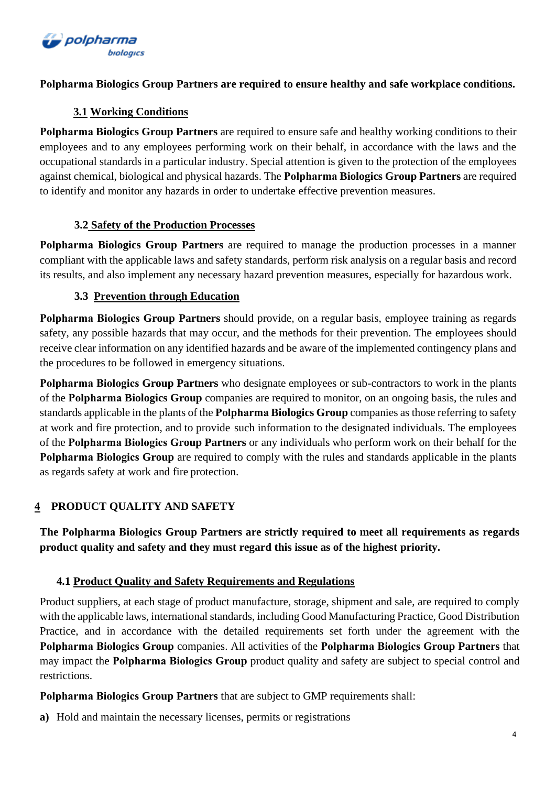

## **Polpharmа Biologics Group Partners are required to ensure healthy and safe workplace conditions.**

# **3.1 Working Conditions**

**Polpharma Biologics Group Partners** are required to ensure safe and healthy working conditions to their employees and to any employees performing work on their behalf, in accordance with the laws and the occupational standards in a particular industry. Special attention is given to the protection of the employees against chemical, biological and physical hazards. The **Polpharmа Biologics Group Partners** are required to identify and monitor any hazards in order to undertake effective prevention measures.

# **3.2 Safety of the Production Processes**

**Polpharmа Biologics Group Partners** are required to manage the production processes in a manner compliant with the applicable laws and safety standards, perform risk analysis on a regular basis and record its results, and also implement any necessary hazard prevention measures, especially for hazardous work.

## **3.3 Prevention through Education**

**Polpharmа Biologics Group Partners** should provide, on a regular basis, employee training as regards safety, any possible hazards that may occur, and the methods for their prevention. The employees should receive clear information on any identified hazards and be aware of the implemented contingency plans and the procedures to be followed in emergency situations.

**Polpharmа Biologics Group Partners** who designate employees or sub-contractors to work in the plants of the **Polpharmа Biologics Group** companies are required to monitor, on an ongoing basis, the rules and standards applicable in the plants of the **Polpharmа Biologics Group** companies as those referring to safety at work and fire protection, and to provide such information to the designated individuals. The employees of the **Polpharmа Biologics Group Partners** or any individuals who perform work on their behalf for the **Polpharmа Biologics Group** are required to comply with the rules and standards applicable in the plants as regards safety at work and fire protection.

# **4 PRODUCT QUALITY AND SAFETY**

**The Polpharmа Biologics Group Partners are strictly required to meet all requirements as regards product quality and safety and they must regard this issue as of the highest priority.**

# **4.1 Product Quality and Safety Requirements and Regulations**

Product suppliers, at each stage of product manufacture, storage, shipment and sale, are required to comply with the applicable laws, international standards, including Good Manufacturing Practice, Good Distribution Practice, and in accordance with the detailed requirements set forth under the agreement with the **Polpharmа Biologics Group** companies. All activities of the **Polpharmа Biologics Group Partners** that may impact the **Polpharmа Biologics Group** product quality and safety are subject to special control and restrictions.

**Polpharmа Biologics Group Partners** that are subject to GMP requirements shall:

**a)** Hold and maintain the necessary licenses, permits or registrations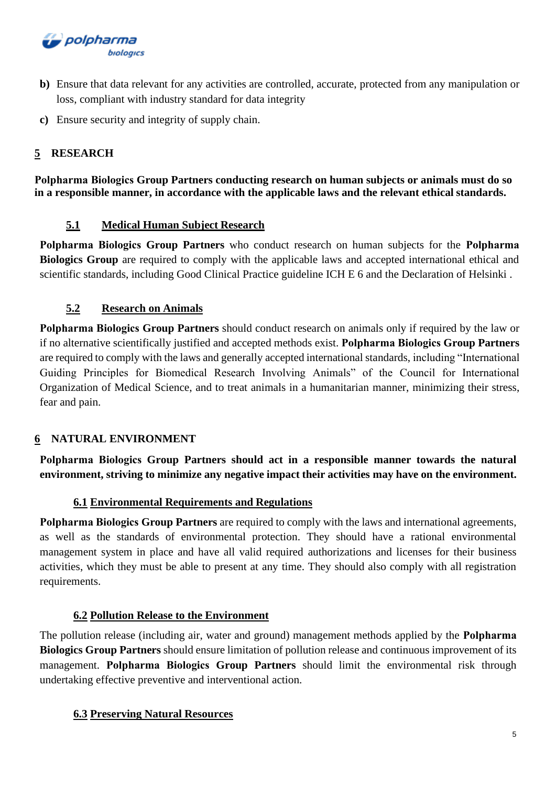

- **b)** Ensure that data relevant for any activities are controlled, accurate, protected from any manipulation or loss, compliant with industry standard for data integrity
- **c)** Ensure security and integrity of supply chain.

# **5 RESEARCH**

**Polpharmа Biologics Group Partners conducting research on human subjects or animals must do so in a responsible manner, in accordance with the applicable laws and the relevant ethical standards.**

## **5.1 Medical Human Subject Research**

**Polpharmа Biologics Group Partners** who conduct research on human subjects for the **Polpharmа Biologics Group** are required to comply with the applicable laws and accepted international ethical and scientific standards, including Good Clinical Practice guideline ICH E 6 and the Declaration of Helsinki .

## **5.2 Research on Animals**

**Polpharmа Biologics Group Partners** should conduct research on animals only if required by the law or if no alternative scientifically justified and accepted methods exist. **Polpharmа Biologics Group Partners** are required to comply with the laws and generally accepted international standards, including "International Guiding Principles for Biomedical Research Involving Animals" of the Council for International Organization of Medical Science, and to treat animals in a humanitarian manner, minimizing their stress, fear and pain.

## **6 NATURAL ENVIRONMENT**

**Polpharmа Biologics Group Partners should act in a responsible manner towards the natural environment, striving to minimize any negative impact their activities may have on the environment.**

## **6.1 Environmental Requirements and Regulations**

**Polpharmа Biologics Group Partners** are required to comply with the laws and international agreements, as well as the standards of environmental protection. They should have a rational environmental management system in place and have all valid required authorizations and licenses for their business activities, which they must be able to present at any time. They should also comply with all registration requirements.

## **6.2 Pollution Release to the Environment**

The pollution release (including air, water and ground) management methods applied by the **Polpharmа Biologics Group Partners** should ensure limitation of pollution release and continuous improvement of its management. **Polpharmа Biologics Group Partners** should limit the environmental risk through undertaking effective preventive and interventional action.

## **6.3 Preserving Natural Resources**